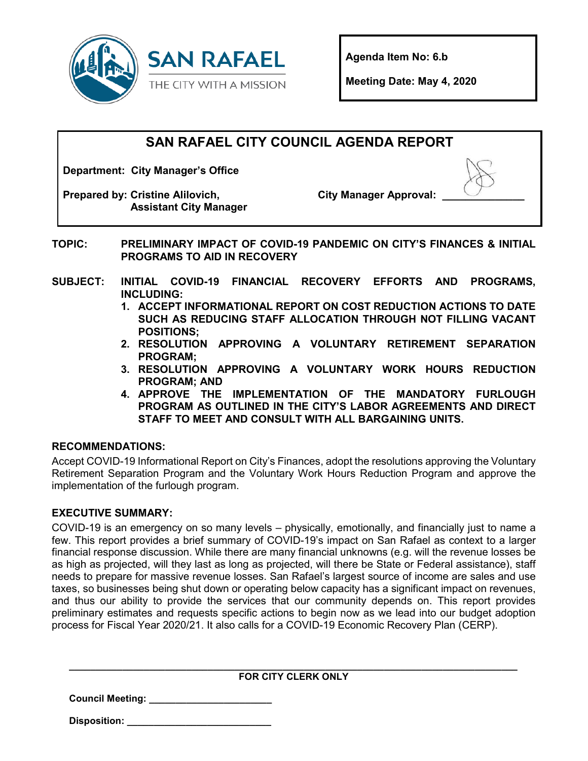

**Agenda Item No: 6.b**

**Meeting Date: May 4, 2020** 

# **SAN RAFAEL CITY COUNCIL AGENDA REPORT**

**Department: City Manager's Office**

**Prepared by: Cristine Alilovich, Assistant City Manager** **City Manager Approval: \_\_\_\_\_\_\_\_\_\_\_\_\_\_**



- **TOPIC: PRELIMINARY IMPACT OF COVID-19 PANDEMIC ON CITY'S FINANCES & INITIAL PROGRAMS TO AID IN RECOVERY**
- **SUBJECT: INITIAL COVID-19 FINANCIAL RECOVERY EFFORTS AND PROGRAMS, INCLUDING:**
	- **1. ACCEPT INFORMATIONAL REPORT ON COST REDUCTION ACTIONS TO DATE SUCH AS REDUCING STAFF ALLOCATION THROUGH NOT FILLING VACANT POSITIONS;**
	- **2. RESOLUTION APPROVING A VOLUNTARY RETIREMENT SEPARATION PROGRAM;**
	- **3. RESOLUTION APPROVING A VOLUNTARY WORK HOURS REDUCTION PROGRAM; AND**
	- **4. APPROVE THE IMPLEMENTATION OF THE MANDATORY FURLOUGH PROGRAM AS OUTLINED IN THE CITY'S LABOR AGREEMENTS AND DIRECT STAFF TO MEET AND CONSULT WITH ALL BARGAINING UNITS.**

## **RECOMMENDATIONS:**

Accept COVID-19 Informational Report on City's Finances, adopt the resolutions approving the Voluntary Retirement Separation Program and the Voluntary Work Hours Reduction Program and approve the implementation of the furlough program.

## **EXECUTIVE SUMMARY:**

COVID-19 is an emergency on so many levels – physically, emotionally, and financially just to name a few. This report provides a brief summary of COVID-19's impact on San Rafael as context to a larger financial response discussion. While there are many financial unknowns (e.g. will the revenue losses be as high as projected, will they last as long as projected, will there be State or Federal assistance), staff needs to prepare for massive revenue losses. San Rafael's largest source of income are sales and use taxes, so businesses being shut down or operating below capacity has a significant impact on revenues, and thus our ability to provide the services that our community depends on. This report provides preliminary estimates and requests specific actions to begin now as we lead into our budget adoption process for Fiscal Year 2020/21. It also calls for a COVID-19 Economic Recovery Plan (CERP).

| <b>FOR CITY CLERK ONLY</b> |  |
|----------------------------|--|

**Council Meeting: \_\_\_\_\_\_\_\_\_\_\_\_\_\_\_\_\_\_\_\_\_\_\_**

**Disposition: \_\_\_\_\_\_\_\_\_\_\_\_\_\_\_\_\_\_\_\_\_\_\_\_\_\_\_**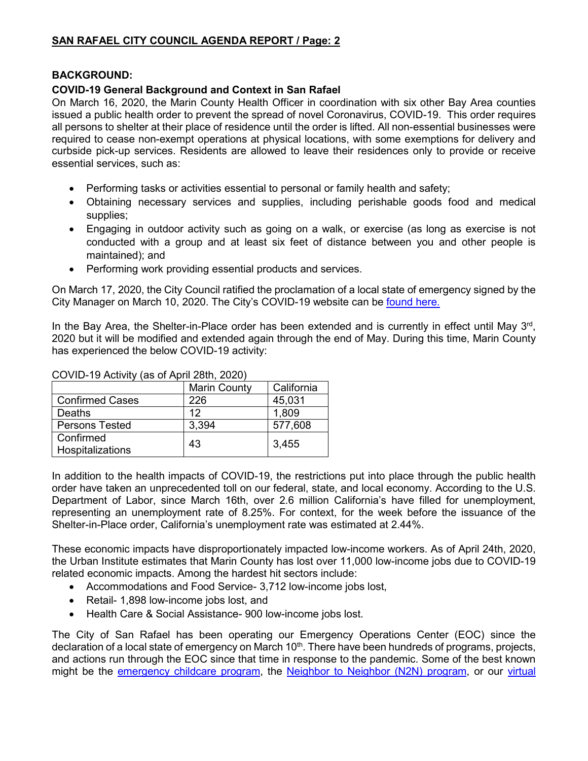#### **BACKGROUND:**

### **COVID-19 General Background and Context in San Rafael**

On March 16, 2020, the Marin County Health Officer in coordination with six other Bay Area counties issued a public health order to prevent the spread of novel Coronavirus, COVID-19. This order requires all persons to shelter at their place of residence until the order is lifted. All non-essential businesses were required to cease non-exempt operations at physical locations, with some exemptions for delivery and curbside pick-up services. Residents are allowed to leave their residences only to provide or receive essential services, such as:

- Performing tasks or activities essential to personal or family health and safety;
- Obtaining necessary services and supplies, including perishable goods food and medical supplies;
- Engaging in outdoor activity such as going on a walk, or exercise (as long as exercise is not conducted with a group and at least six feet of distance between you and other people is maintained); and
- Performing work providing essential products and services.

On March 17, 2020, the City Council ratified the proclamation of a local state of emergency signed by the City Manager on March 10, 2020. The City's COVID-19 website can be [found here.](https://www.cityofsanrafael.org/departments/coronavirus)

In the Bay Area, the Shelter-in-Place order has been extended and is currently in effect until May  $3<sup>rd</sup>$ , 2020 but it will be modified and extended again through the end of May. During this time, Marin County has experienced the below COVID-19 activity:

#### COVID-19 Activity (as of April 28th, 2020)

|                               | <b>Marin County</b> | California |
|-------------------------------|---------------------|------------|
| <b>Confirmed Cases</b>        | 226                 | 45,031     |
| Deaths                        | 12                  | 1,809      |
| <b>Persons Tested</b>         | 3,394               | 577,608    |
| Confirmed<br>Hospitalizations | 43                  | 3,455      |

In addition to the health impacts of COVID-19, the restrictions put into place through the public health order have taken an unprecedented toll on our federal, state, and local economy. [According to the U.S.](https://oui.doleta.gov/unemploy/claims.asp)  [Department of Labor,](https://oui.doleta.gov/unemploy/claims.asp) since March 16th, over 2.6 million California's have filled for unemployment, representing an unemployment rate of 8.25%. For context, for the week before the issuance of the Shelter-in-Place order, California's unemployment rate was estimated at 2.44%.

These economic impacts have disproportionately impacted low-income workers. As of April 24th, 2020, [the Urban Institute estimates that Marin County has lost over 11,000 low-income jobs](https://www.urban.org/features/where-low-income-jobs-are-being-lost-covid-19) due to COVID-19 related economic impacts. Among the hardest hit sectors include:

- Accommodations and Food Service- 3,712 low-income jobs lost,
- Retail- 1,898 low-income jobs lost, and
- Health Care & Social Assistance- 900 low-income jobs lost.

The City of San Rafael has been operating our Emergency Operations Center (EOC) since the declaration of a local state of emergency on March  $10<sup>th</sup>$ . There have been hundreds of programs, projects, and actions run through the EOC since that time in response to the pandemic. Some of the best known might be the [emergency childcare program,](https://www.marinij.com/2020/03/20/marin-creates-pop-up-child-care-for-health-workers/) the [Neighbor to Neighbor \(N2N\) program,](https://www.cityofsanrafael.org/how-to-help-COVID-19/) or our [virtual](https://www.cityofsanrafael.org/departments/library-recreation/)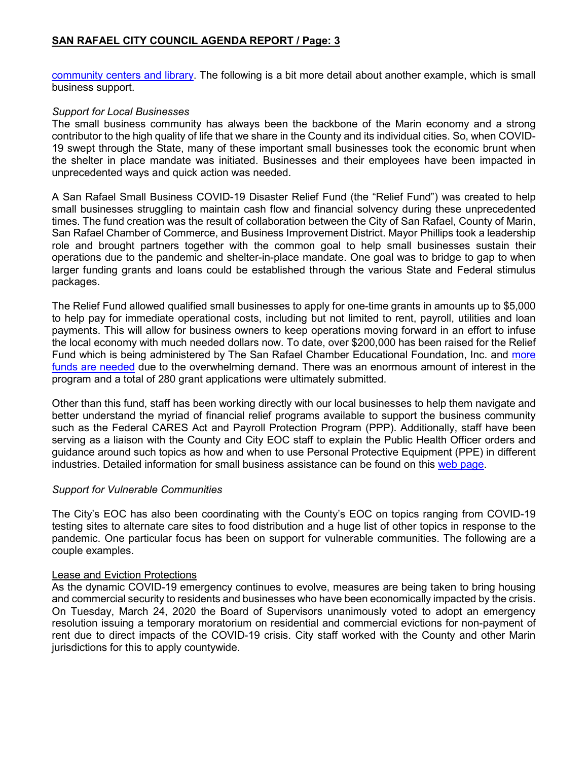[community centers and library.](https://www.cityofsanrafael.org/departments/library-recreation/) The following is a bit more detail about another example, which is small business support.

#### *Support for Local Businesses*

The small business community has always been the backbone of the Marin economy and a strong contributor to the high quality of life that we share in the County and its individual cities. So, when COVID-19 swept through the State, many of these important small businesses took the economic brunt when the shelter in place mandate was initiated. Businesses and their employees have been impacted in unprecedented ways and quick action was needed.

A San Rafael Small Business COVID-19 Disaster Relief Fund (the "Relief Fund") was created to help small businesses struggling to maintain cash flow and financial solvency during these unprecedented times. The fund creation was the result of collaboration between the City of San Rafael, County of Marin, San Rafael Chamber of Commerce, and Business Improvement District. Mayor Phillips took a leadership role and brought partners together with the common goal to help small businesses sustain their operations due to the pandemic and shelter-in-place mandate. One goal was to bridge to gap to when larger funding grants and loans could be established through the various State and Federal stimulus packages.

The Relief Fund allowed qualified small businesses to apply for one-time grants in amounts up to \$5,000 to help pay for immediate operational costs, including but not limited to rent, payroll, utilities and loan payments. This will allow for business owners to keep operations moving forward in an effort to infuse the local economy with much needed dollars now. To date, over \$200,000 has been raised for the Relief Fund which is being administered by The San Rafael Chamber Educational Foundation, Inc. and [more](https://srchamber.com/store/san-rafael-educational-foundation-donation)  [funds are needed](https://srchamber.com/store/san-rafael-educational-foundation-donation) due to the overwhelming demand. There was an enormous amount of interest in the program and a total of 280 grant applications were ultimately submitted.

Other than this fund, staff has been working directly with our local businesses to help them navigate and better understand the myriad of financial relief programs available to support the business community such as the Federal CARES Act and Payroll Protection Program (PPP). Additionally, staff have been serving as a liaison with the County and City EOC staff to explain the Public Health Officer orders and guidance around such topics as how and when to use Personal Protective Equipment (PPE) in different industries. Detailed information for small business assistance can be found on this [web page.](https://www.cityofsanrafael.org/businesses-covid-19/)

#### *Support for Vulnerable Communities*

The City's EOC has also been coordinating with the County's EOC on topics ranging from COVID-19 testing sites to alternate care sites to food distribution and a huge list of other topics in response to the pandemic. One particular focus has been on support for vulnerable communities. The following are a couple examples.

#### Lease and Eviction Protections

As the dynamic COVID-19 emergency continues to evolve, measures are being taken to bring housing and commercial security to residents and businesses who have been economically impacted by the crisis. On Tuesday, March 24, 2020 the Board of Supervisors unanimously voted to adopt an emergency resolution issuing a temporary moratorium on residential and commercial evictions for non-payment of rent due to direct impacts of the COVID-19 crisis. City staff worked with the County and other Marin jurisdictions for this to apply countywide.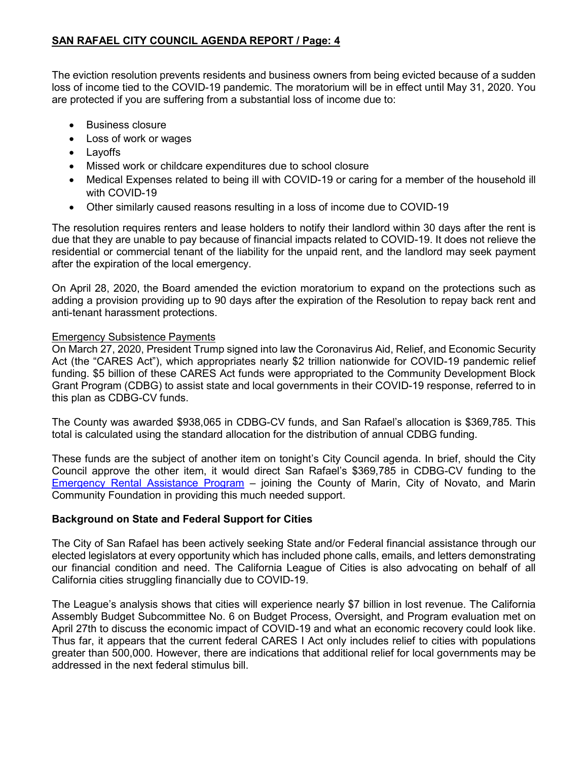The eviction resolution prevents residents and business owners from being evicted because of a sudden loss of income tied to the COVID-19 pandemic. The moratorium will be in effect until May 31, 2020. You are protected if you are suffering from a substantial loss of income due to:

- Business closure
- Loss of work or wages
- Layoffs
- Missed work or childcare expenditures due to school closure
- Medical Expenses related to being ill with COVID-19 or caring for a member of the household ill with COVID-19
- Other similarly caused reasons resulting in a loss of income due to COVID-19

The resolution requires renters and lease holders to notify their landlord within 30 days after the rent is due that they are unable to pay because of financial impacts related to COVID-19. It does not relieve the residential or commercial tenant of the liability for the unpaid rent, and the landlord may seek payment after the expiration of the local emergency.

On April 28, 2020, the Board amended the eviction moratorium to expand on the protections such as adding a provision providing up to 90 days after the expiration of the Resolution to repay back rent and anti-tenant harassment protections.

#### Emergency Subsistence Payments

On March 27, 2020, President Trump signed into law the Coronavirus Aid, Relief, and Economic Security Act (the "CARES Act"), which appropriates nearly \$2 trillion nationwide for COVID-19 pandemic relief funding. \$5 billion of these CARES Act funds were appropriated to the Community Development Block Grant Program (CDBG) to assist state and local governments in their COVID-19 response, referred to in this plan as CDBG-CV funds.

The County was awarded \$938,065 in CDBG-CV funds, and San Rafael's allocation is \$369,785. This total is calculated using the standard allocation for the distribution of annual CDBG funding.

These funds are the subject of another item on tonight's City Council agenda. In brief, should the City Council approve the other item, it would direct San Rafael's \$369,785 in CDBG-CV funding to the [Emergency Rental Assistance Program](https://housingfirst.marinhhs.org/emergency-rental-assistance-program) – joining the County of Marin, City of Novato, and Marin Community Foundation in providing this much needed support.

#### **Background on State and Federal Support for Cities**

The City of San Rafael has been actively seeking State and/or Federal financial assistance through our elected legislators at every opportunity which has included phone calls, emails, and letters demonstrating our financial condition and need. The California League of Cities is also advocating on behalf of all California cities struggling financially due to COVID-19.

The League's analysis shows that cities will experience nearly \$7 billion in lost revenue. The California Assembly Budget Subcommittee No. 6 on Budget Process, Oversight, and Program evaluation met on April 27th to discuss the economic impact of COVID-19 and what an economic recovery could look like. Thus far, it appears that the current federal CARES I Act only includes relief to cities with populations greater than 500,000. However, there are indications that additional relief for local governments may be addressed in the next federal stimulus bill.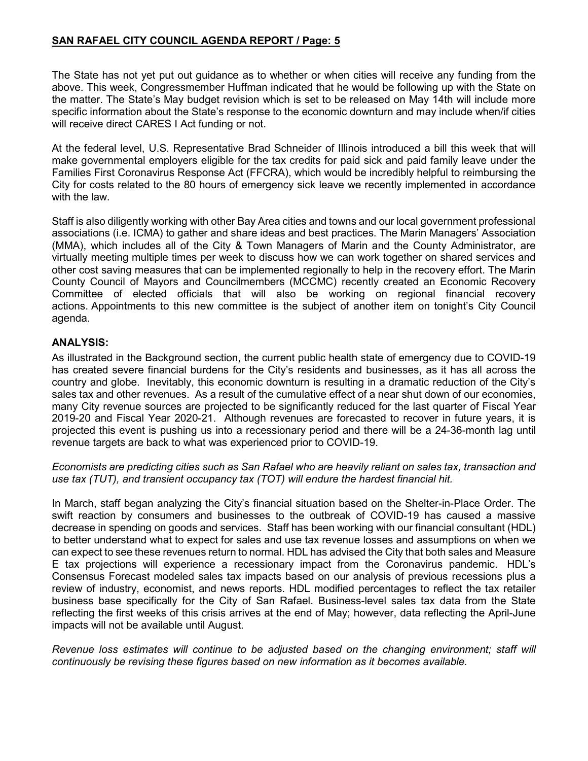The State has not yet put out guidance as to whether or when cities will receive any funding from the above. This week, Congressmember Huffman indicated that he would be following up with the State on the matter. The State's May budget revision which is set to be released on May 14th will include more specific information about the State's response to the economic downturn and may include when/if cities will receive direct CARES I Act funding or not.

At the federal level, U.S. Representative Brad Schneider of Illinois introduced a bill this week that will make governmental employers eligible for the tax credits for paid sick and paid family leave under the Families First Coronavirus Response Act (FFCRA), which would be incredibly helpful to reimbursing the City for costs related to the 80 hours of emergency sick leave we recently implemented in accordance with the law.

Staff is also diligently working with other Bay Area cities and towns and our local government professional associations (i.e. ICMA) to gather and share ideas and best practices. The Marin Managers' Association (MMA), which includes all of the City & Town Managers of Marin and the County Administrator, are virtually meeting multiple times per week to discuss how we can work together on shared services and other cost saving measures that can be implemented regionally to help in the recovery effort. The Marin County Council of Mayors and Councilmembers (MCCMC) recently created an Economic Recovery Committee of elected officials that will also be working on regional financial recovery actions. Appointments to this new committee is the subject of another item on tonight's City Council agenda.

#### **ANALYSIS:**

As illustrated in the Background section, the current public health state of emergency due to COVID-19 has created severe financial burdens for the City's residents and businesses, as it has all across the country and globe. Inevitably, this economic downturn is resulting in a dramatic reduction of the City's sales tax and other revenues. As a result of the cumulative effect of a near shut down of our economies, many City revenue sources are projected to be significantly reduced for the last quarter of Fiscal Year 2019-20 and Fiscal Year 2020-21. Although revenues are forecasted to recover in future years, it is projected this event is pushing us into a recessionary period and there will be a 24-36-month lag until revenue targets are back to what was experienced prior to COVID-19.

*Economists are predicting cities such as San Rafael who are heavily reliant on sales tax, transaction and use tax (TUT), and transient occupancy tax (TOT) will endure the hardest financial hit.*

In March, staff began analyzing the City's financial situation based on the Shelter-in-Place Order. The swift reaction by consumers and businesses to the outbreak of COVID-19 has caused a massive decrease in spending on goods and services. Staff has been working with our financial consultant (HDL) to better understand what to expect for sales and use tax revenue losses and assumptions on when we can expect to see these revenues return to normal. HDL has advised the City that both sales and Measure E tax projections will experience a recessionary impact from the Coronavirus pandemic. HDL's Consensus Forecast modeled sales tax impacts based on our analysis of previous recessions plus a review of industry, economist, and news reports. HDL modified percentages to reflect the tax retailer business base specifically for the City of San Rafael. Business-level sales tax data from the State reflecting the first weeks of this crisis arrives at the end of May; however, data reflecting the April-June impacts will not be available until August.

*Revenue loss estimates will continue to be adjusted based on the changing environment; staff will continuously be revising these figures based on new information as it becomes available.*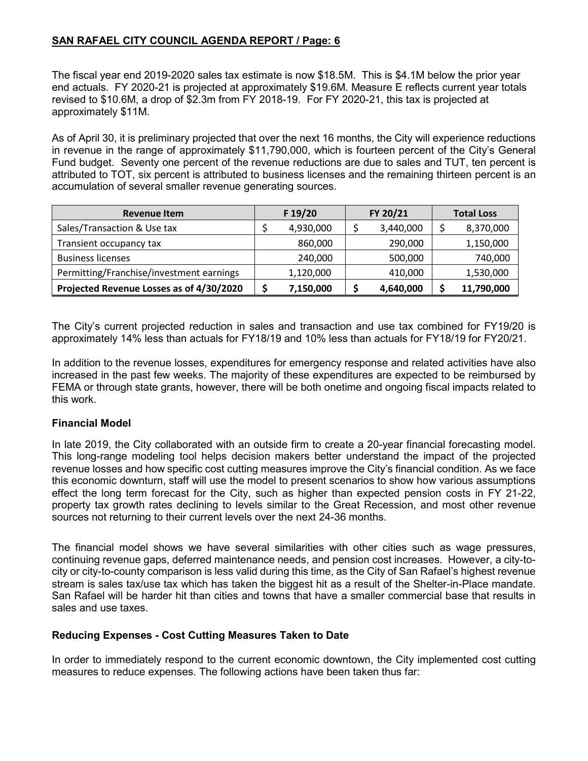The fiscal year end 2019-2020 sales tax estimate is now \$18.5M. This is \$4.1M below the prior year end actuals. FY 2020-21 is projected at approximately \$19.6M. Measure E reflects current year totals revised to \$10.6M, a drop of \$2.3m from FY 2018-19. For FY 2020-21, this tax is projected at approximately \$11M.

As of April 30, it is preliminary projected that over the next 16 months, the City will experience reductions in revenue in the range of approximately \$11,790,000, which is fourteen percent of the City's General Fund budget. Seventy one percent of the revenue reductions are due to sales and TUT, ten percent is attributed to TOT, six percent is attributed to business licenses and the remaining thirteen percent is an accumulation of several smaller revenue generating sources.

| <b>Revenue Item</b>                      | F 19/20   | FY 20/21  | <b>Total Loss</b> |
|------------------------------------------|-----------|-----------|-------------------|
| Sales/Transaction & Use tax              | 4,930,000 | 3,440,000 | 8,370,000         |
| Transient occupancy tax                  | 860,000   | 290,000   | 1,150,000         |
| <b>Business licenses</b>                 | 240,000   | 500,000   | 740,000           |
| Permitting/Franchise/investment earnings | 1,120,000 | 410,000   | 1,530,000         |
| Projected Revenue Losses as of 4/30/2020 | 7,150,000 | 4,640,000 | 11,790,000        |

The City's current projected reduction in sales and transaction and use tax combined for FY19/20 is approximately 14% less than actuals for FY18/19 and 10% less than actuals for FY18/19 for FY20/21.

In addition to the revenue losses, expenditures for emergency response and related activities have also increased in the past few weeks. The majority of these expenditures are expected to be reimbursed by FEMA or through state grants, however, there will be both onetime and ongoing fiscal impacts related to this work.

#### **Financial Model**

In late 2019, the City collaborated with an outside firm to create a 20-year financial forecasting model. This long-range modeling tool helps decision makers better understand the impact of the projected revenue losses and how specific cost cutting measures improve the City's financial condition. As we face this economic downturn, staff will use the model to present scenarios to show how various assumptions effect the long term forecast for the City, such as higher than expected pension costs in FY 21-22, property tax growth rates declining to levels similar to the Great Recession, and most other revenue sources not returning to their current levels over the next 24-36 months.

The financial model shows we have several similarities with other cities such as wage pressures, continuing revenue gaps, deferred maintenance needs, and pension cost increases. However, a city-tocity or city-to-county comparison is less valid during this time, as the City of San Rafael's highest revenue stream is sales tax/use tax which has taken the biggest hit as a result of the Shelter-in-Place mandate. San Rafael will be harder hit than cities and towns that have a smaller commercial base that results in sales and use taxes.

#### **Reducing Expenses - Cost Cutting Measures Taken to Date**

In order to immediately respond to the current economic downtown, the City implemented cost cutting measures to reduce expenses. The following actions have been taken thus far: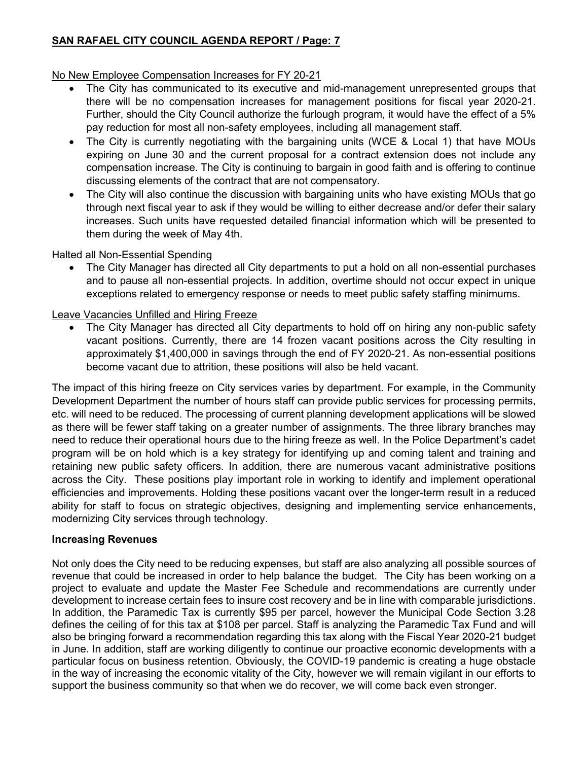## No New Employee Compensation Increases for FY 20-21

- The City has communicated to its executive and mid-management unrepresented groups that there will be no compensation increases for management positions for fiscal year 2020-21. Further, should the City Council authorize the furlough program, it would have the effect of a 5% pay reduction for most all non-safety employees, including all management staff.
- The City is currently negotiating with the bargaining units (WCE & Local 1) that have MOUs expiring on June 30 and the current proposal for a contract extension does not include any compensation increase. The City is continuing to bargain in good faith and is offering to continue discussing elements of the contract that are not compensatory.
- The City will also continue the discussion with bargaining units who have existing MOUs that go through next fiscal year to ask if they would be willing to either decrease and/or defer their salary increases. Such units have requested detailed financial information which will be presented to them during the week of May 4th.

#### Halted all Non-Essential Spending

• The City Manager has directed all City departments to put a hold on all non-essential purchases and to pause all non-essential projects. In addition, overtime should not occur expect in unique exceptions related to emergency response or needs to meet public safety staffing minimums.

#### Leave Vacancies Unfilled and Hiring Freeze

• The City Manager has directed all City departments to hold off on hiring any non-public safety vacant positions. Currently, there are 14 frozen vacant positions across the City resulting in approximately \$1,400,000 in savings through the end of FY 2020-21. As non-essential positions become vacant due to attrition, these positions will also be held vacant.

The impact of this hiring freeze on City services varies by department. For example, in the Community Development Department the number of hours staff can provide public services for processing permits, etc. will need to be reduced. The processing of current planning development applications will be slowed as there will be fewer staff taking on a greater number of assignments. The three library branches may need to reduce their operational hours due to the hiring freeze as well. In the Police Department's cadet program will be on hold which is a key strategy for identifying up and coming talent and training and retaining new public safety officers. In addition, there are numerous vacant administrative positions across the City. These positions play important role in working to identify and implement operational efficiencies and improvements. Holding these positions vacant over the longer-term result in a reduced ability for staff to focus on strategic objectives, designing and implementing service enhancements, modernizing City services through technology.

#### **Increasing Revenues**

Not only does the City need to be reducing expenses, but staff are also analyzing all possible sources of revenue that could be increased in order to help balance the budget. The City has been working on a project to evaluate and update the Master Fee Schedule and recommendations are currently under development to increase certain fees to insure cost recovery and be in line with comparable jurisdictions. In addition, the Paramedic Tax is currently \$95 per parcel, however the Municipal Code Section 3.28 defines the ceiling of for this tax at \$108 per parcel. Staff is analyzing the Paramedic Tax Fund and will also be bringing forward a recommendation regarding this tax along with the Fiscal Year 2020-21 budget in June. In addition, staff are working diligently to continue our proactive economic developments with a particular focus on business retention. Obviously, the COVID-19 pandemic is creating a huge obstacle in the way of increasing the economic vitality of the City, however we will remain vigilant in our efforts to support the business community so that when we do recover, we will come back even stronger.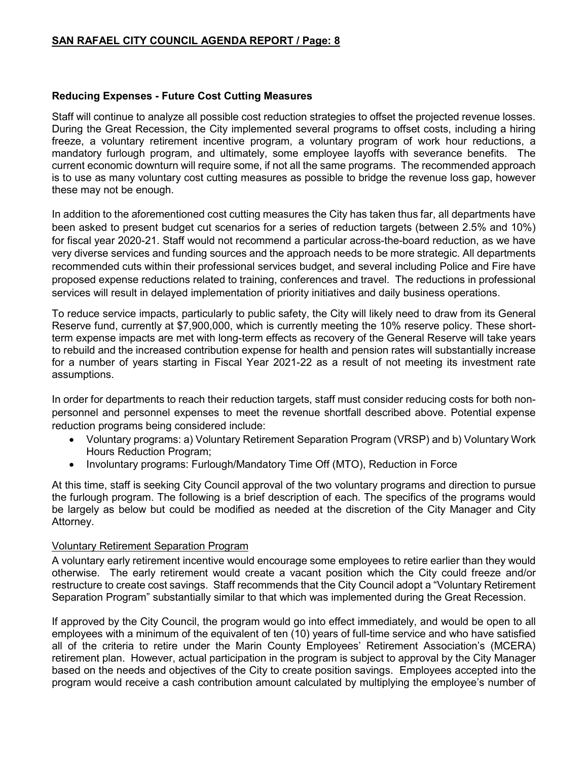#### **Reducing Expenses - Future Cost Cutting Measures**

Staff will continue to analyze all possible cost reduction strategies to offset the projected revenue losses. During the Great Recession, the City implemented several programs to offset costs, including a hiring freeze, a voluntary retirement incentive program, a voluntary program of work hour reductions, a mandatory furlough program, and ultimately, some employee layoffs with severance benefits. The current economic downturn will require some, if not all the same programs. The recommended approach is to use as many voluntary cost cutting measures as possible to bridge the revenue loss gap, however these may not be enough.

In addition to the aforementioned cost cutting measures the City has taken thus far, all departments have been asked to present budget cut scenarios for a series of reduction targets (between 2.5% and 10%) for fiscal year 2020-21. Staff would not recommend a particular across-the-board reduction, as we have very diverse services and funding sources and the approach needs to be more strategic. All departments recommended cuts within their professional services budget, and several including Police and Fire have proposed expense reductions related to training, conferences and travel. The reductions in professional services will result in delayed implementation of priority initiatives and daily business operations.

To reduce service impacts, particularly to public safety, the City will likely need to draw from its General Reserve fund, currently at \$7,900,000, which is currently meeting the 10% reserve policy. These shortterm expense impacts are met with long-term effects as recovery of the General Reserve will take years to rebuild and the increased contribution expense for health and pension rates will substantially increase for a number of years starting in Fiscal Year 2021-22 as a result of not meeting its investment rate assumptions.

In order for departments to reach their reduction targets, staff must consider reducing costs for both nonpersonnel and personnel expenses to meet the revenue shortfall described above. Potential expense reduction programs being considered include:

- Voluntary programs: a) Voluntary Retirement Separation Program (VRSP) and b) Voluntary Work Hours Reduction Program;
- Involuntary programs: Furlough/Mandatory Time Off (MTO), Reduction in Force

At this time, staff is seeking City Council approval of the two voluntary programs and direction to pursue the furlough program. The following is a brief description of each. The specifics of the programs would be largely as below but could be modified as needed at the discretion of the City Manager and City Attorney.

#### Voluntary Retirement Separation Program

A voluntary early retirement incentive would encourage some employees to retire earlier than they would otherwise. The early retirement would create a vacant position which the City could freeze and/or restructure to create cost savings. Staff recommends that the City Council adopt a "Voluntary Retirement Separation Program" substantially similar to that which was implemented during the Great Recession.

If approved by the City Council, the program would go into effect immediately, and would be open to all employees with a minimum of the equivalent of ten (10) years of full-time service and who have satisfied all of the criteria to retire under the Marin County Employees' Retirement Association's (MCERA) retirement plan. However, actual participation in the program is subject to approval by the City Manager based on the needs and objectives of the City to create position savings. Employees accepted into the program would receive a cash contribution amount calculated by multiplying the employee's number of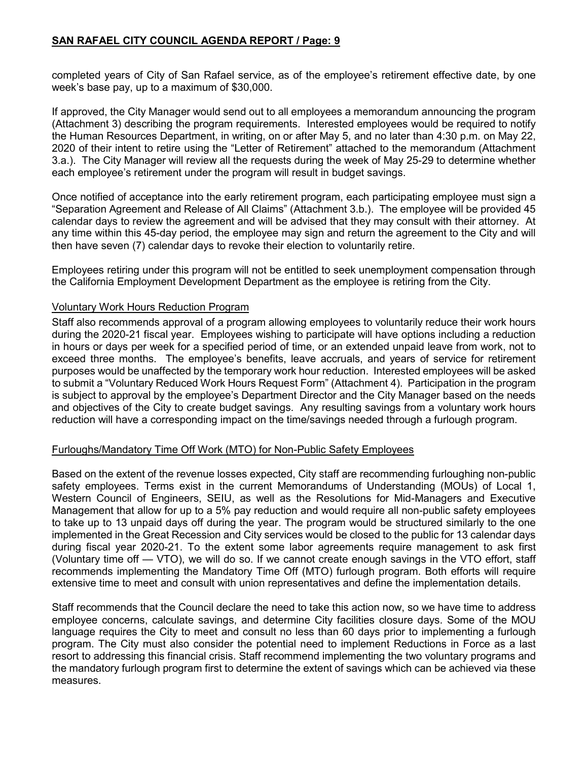completed years of City of San Rafael service, as of the employee's retirement effective date, by one week's base pay, up to a maximum of \$30,000.

If approved, the City Manager would send out to all employees a memorandum announcing the program (Attachment 3) describing the program requirements. Interested employees would be required to notify the Human Resources Department, in writing, on or after May 5, and no later than 4:30 p.m. on May 22, 2020 of their intent to retire using the "Letter of Retirement" attached to the memorandum (Attachment 3.a.). The City Manager will review all the requests during the week of May 25-29 to determine whether each employee's retirement under the program will result in budget savings.

Once notified of acceptance into the early retirement program, each participating employee must sign a "Separation Agreement and Release of All Claims" (Attachment 3.b.). The employee will be provided 45 calendar days to review the agreement and will be advised that they may consult with their attorney. At any time within this 45-day period, the employee may sign and return the agreement to the City and will then have seven (7) calendar days to revoke their election to voluntarily retire.

Employees retiring under this program will not be entitled to seek unemployment compensation through the California Employment Development Department as the employee is retiring from the City.

#### Voluntary Work Hours Reduction Program

Staff also recommends approval of a program allowing employees to voluntarily reduce their work hours during the 2020-21 fiscal year. Employees wishing to participate will have options including a reduction in hours or days per week for a specified period of time, or an extended unpaid leave from work, not to exceed three months. The employee's benefits, leave accruals, and years of service for retirement purposes would be unaffected by the temporary work hour reduction. Interested employees will be asked to submit a "Voluntary Reduced Work Hours Request Form" (Attachment 4). Participation in the program is subject to approval by the employee's Department Director and the City Manager based on the needs and objectives of the City to create budget savings. Any resulting savings from a voluntary work hours reduction will have a corresponding impact on the time/savings needed through a furlough program.

#### Furloughs/Mandatory Time Off Work (MTO) for Non-Public Safety Employees

Based on the extent of the revenue losses expected, City staff are recommending furloughing non-public safety employees. Terms exist in the current Memorandums of Understanding (MOUs) of Local 1, Western Council of Engineers, SEIU, as well as the Resolutions for Mid-Managers and Executive Management that allow for up to a 5% pay reduction and would require all non-public safety employees to take up to 13 unpaid days off during the year. The program would be structured similarly to the one implemented in the Great Recession and City services would be closed to the public for 13 calendar days during fiscal year 2020-21. To the extent some labor agreements require management to ask first (Voluntary time off — VTO), we will do so. If we cannot create enough savings in the VTO effort, staff recommends implementing the Mandatory Time Off (MTO) furlough program. Both efforts will require extensive time to meet and consult with union representatives and define the implementation details.

Staff recommends that the Council declare the need to take this action now, so we have time to address employee concerns, calculate savings, and determine City facilities closure days. Some of the MOU language requires the City to meet and consult no less than 60 days prior to implementing a furlough program. The City must also consider the potential need to implement Reductions in Force as a last resort to addressing this financial crisis. Staff recommend implementing the two voluntary programs and the mandatory furlough program first to determine the extent of savings which can be achieved via these measures.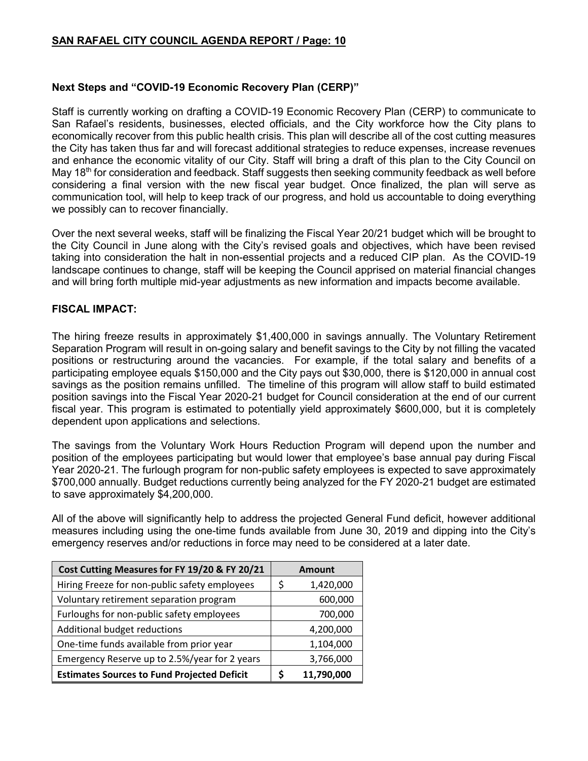#### **Next Steps and "COVID-19 Economic Recovery Plan (CERP)"**

Staff is currently working on drafting a COVID-19 Economic Recovery Plan (CERP) to communicate to San Rafael's residents, businesses, elected officials, and the City workforce how the City plans to economically recover from this public health crisis. This plan will describe all of the cost cutting measures the City has taken thus far and will forecast additional strategies to reduce expenses, increase revenues and enhance the economic vitality of our City. Staff will bring a draft of this plan to the City Council on May 18<sup>th</sup> for consideration and feedback. Staff suggests then seeking community feedback as well before considering a final version with the new fiscal year budget. Once finalized, the plan will serve as communication tool, will help to keep track of our progress, and hold us accountable to doing everything we possibly can to recover financially.

Over the next several weeks, staff will be finalizing the Fiscal Year 20/21 budget which will be brought to the City Council in June along with the City's revised goals and objectives, which have been revised taking into consideration the halt in non-essential projects and a reduced CIP plan. As the COVID-19 landscape continues to change, staff will be keeping the Council apprised on material financial changes and will bring forth multiple mid-year adjustments as new information and impacts become available.

### **FISCAL IMPACT:**

The hiring freeze results in approximately \$1,400,000 in savings annually. The Voluntary Retirement Separation Program will result in on-going salary and benefit savings to the City by not filling the vacated positions or restructuring around the vacancies. For example, if the total salary and benefits of a participating employee equals \$150,000 and the City pays out \$30,000, there is \$120,000 in annual cost savings as the position remains unfilled. The timeline of this program will allow staff to build estimated position savings into the Fiscal Year 2020-21 budget for Council consideration at the end of our current fiscal year. This program is estimated to potentially yield approximately \$600,000, but it is completely dependent upon applications and selections.

The savings from the Voluntary Work Hours Reduction Program will depend upon the number and position of the employees participating but would lower that employee's base annual pay during Fiscal Year 2020-21. The furlough program for non-public safety employees is expected to save approximately \$700,000 annually. Budget reductions currently being analyzed for the FY 2020-21 budget are estimated to save approximately \$4,200,000.

All of the above will significantly help to address the projected General Fund deficit, however additional measures including using the one-time funds available from June 30, 2019 and dipping into the City's emergency reserves and/or reductions in force may need to be considered at a later date.

| Cost Cutting Measures for FY 19/20 & FY 20/21      |    | <b>Amount</b> |
|----------------------------------------------------|----|---------------|
| Hiring Freeze for non-public safety employees      | \$ | 1,420,000     |
| Voluntary retirement separation program            |    | 600,000       |
| Furloughs for non-public safety employees          |    | 700,000       |
| Additional budget reductions                       |    | 4,200,000     |
| One-time funds available from prior year           |    | 1,104,000     |
| Emergency Reserve up to 2.5%/year for 2 years      |    | 3,766,000     |
| <b>Estimates Sources to Fund Projected Deficit</b> |    | 11,790,000    |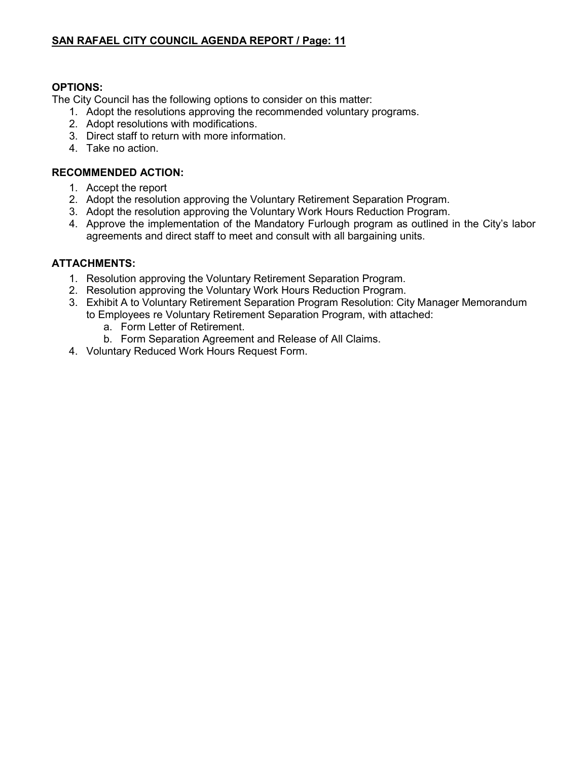## **OPTIONS:**

The City Council has the following options to consider on this matter:

- 1. Adopt the resolutions approving the recommended voluntary programs.
- 2. Adopt resolutions with modifications.
- 3. Direct staff to return with more information.
- 4. Take no action.

### **RECOMMENDED ACTION:**

- 1. Accept the report
- 2. Adopt the resolution approving the Voluntary Retirement Separation Program.
- 3. Adopt the resolution approving the Voluntary Work Hours Reduction Program.
- 4. Approve the implementation of the Mandatory Furlough program as outlined in the City's labor agreements and direct staff to meet and consult with all bargaining units.

## **ATTACHMENTS:**

- 1. Resolution approving the Voluntary Retirement Separation Program.
- 2. Resolution approving the Voluntary Work Hours Reduction Program.
- 3. Exhibit A to Voluntary Retirement Separation Program Resolution: City Manager Memorandum to Employees re Voluntary Retirement Separation Program, with attached:
	- a. Form Letter of Retirement.
	- b. Form Separation Agreement and Release of All Claims.
- 4. Voluntary Reduced Work Hours Request Form.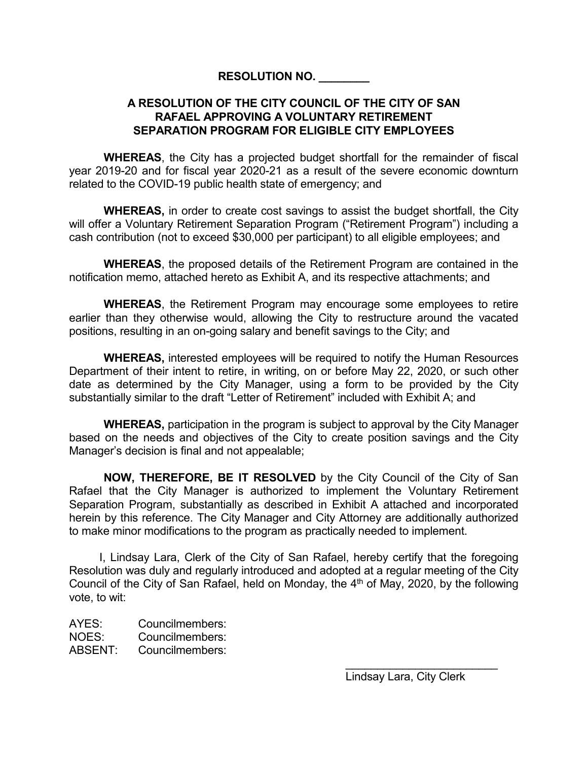## **RESOLUTION NO. \_\_\_\_\_\_\_\_**

## **A RESOLUTION OF THE CITY COUNCIL OF THE CITY OF SAN RAFAEL APPROVING A VOLUNTARY RETIREMENT SEPARATION PROGRAM FOR ELIGIBLE CITY EMPLOYEES**

**WHEREAS**, the City has a projected budget shortfall for the remainder of fiscal year 2019-20 and for fiscal year 2020-21 as a result of the severe economic downturn related to the COVID-19 public health state of emergency; and

**WHEREAS,** in order to create cost savings to assist the budget shortfall, the City will offer a Voluntary Retirement Separation Program ("Retirement Program") including a cash contribution (not to exceed \$30,000 per participant) to all eligible employees; and

**WHEREAS**, the proposed details of the Retirement Program are contained in the notification memo, attached hereto as Exhibit A, and its respective attachments; and

**WHEREAS**, the Retirement Program may encourage some employees to retire earlier than they otherwise would, allowing the City to restructure around the vacated positions, resulting in an on-going salary and benefit savings to the City; and

**WHEREAS,** interested employees will be required to notify the Human Resources Department of their intent to retire, in writing, on or before May 22, 2020, or such other date as determined by the City Manager, using a form to be provided by the City substantially similar to the draft "Letter of Retirement" included with Exhibit A; and

**WHEREAS,** participation in the program is subject to approval by the City Manager based on the needs and objectives of the City to create position savings and the City Manager's decision is final and not appealable;

**NOW, THEREFORE, BE IT RESOLVED** by the City Council of the City of San Rafael that the City Manager is authorized to implement the Voluntary Retirement Separation Program, substantially as described in Exhibit A attached and incorporated herein by this reference. The City Manager and City Attorney are additionally authorized to make minor modifications to the program as practically needed to implement.

I, Lindsay Lara, Clerk of the City of San Rafael, hereby certify that the foregoing Resolution was duly and regularly introduced and adopted at a regular meeting of the City Council of the City of San Rafael, held on Monday, the  $4<sup>th</sup>$  of May, 2020, by the following vote, to wit:

AYES: Councilmembers: NOES: Councilmembers: ABSENT: Councilmembers:

Lindsay Lara, City Clerk

\_\_\_\_\_\_\_\_\_\_\_\_\_\_\_\_\_\_\_\_\_\_\_\_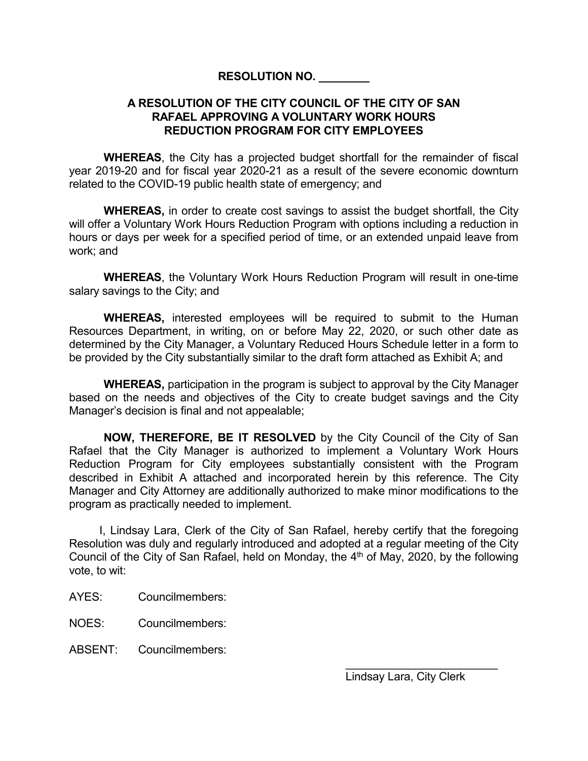## **RESOLUTION NO. \_\_\_\_\_\_\_\_**

## **A RESOLUTION OF THE CITY COUNCIL OF THE CITY OF SAN RAFAEL APPROVING A VOLUNTARY WORK HOURS REDUCTION PROGRAM FOR CITY EMPLOYEES**

**WHEREAS**, the City has a projected budget shortfall for the remainder of fiscal year 2019-20 and for fiscal year 2020-21 as a result of the severe economic downturn related to the COVID-19 public health state of emergency; and

**WHEREAS,** in order to create cost savings to assist the budget shortfall, the City will offer a Voluntary Work Hours Reduction Program with options including a reduction in hours or days per week for a specified period of time, or an extended unpaid leave from work; and

**WHEREAS**, the Voluntary Work Hours Reduction Program will result in one-time salary savings to the City; and

**WHEREAS,** interested employees will be required to submit to the Human Resources Department, in writing, on or before May 22, 2020, or such other date as determined by the City Manager, a Voluntary Reduced Hours Schedule letter in a form to be provided by the City substantially similar to the draft form attached as Exhibit A; and

**WHEREAS,** participation in the program is subject to approval by the City Manager based on the needs and objectives of the City to create budget savings and the City Manager's decision is final and not appealable;

**NOW, THEREFORE, BE IT RESOLVED** by the City Council of the City of San Rafael that the City Manager is authorized to implement a Voluntary Work Hours Reduction Program for City employees substantially consistent with the Program described in Exhibit A attached and incorporated herein by this reference. The City Manager and City Attorney are additionally authorized to make minor modifications to the program as practically needed to implement.

I, Lindsay Lara, Clerk of the City of San Rafael, hereby certify that the foregoing Resolution was duly and regularly introduced and adopted at a regular meeting of the City Council of the City of San Rafael, held on Monday, the  $4<sup>th</sup>$  of May, 2020, by the following vote, to wit:

AYES: Councilmembers:

NOES: Councilmembers:

ABSENT: Councilmembers: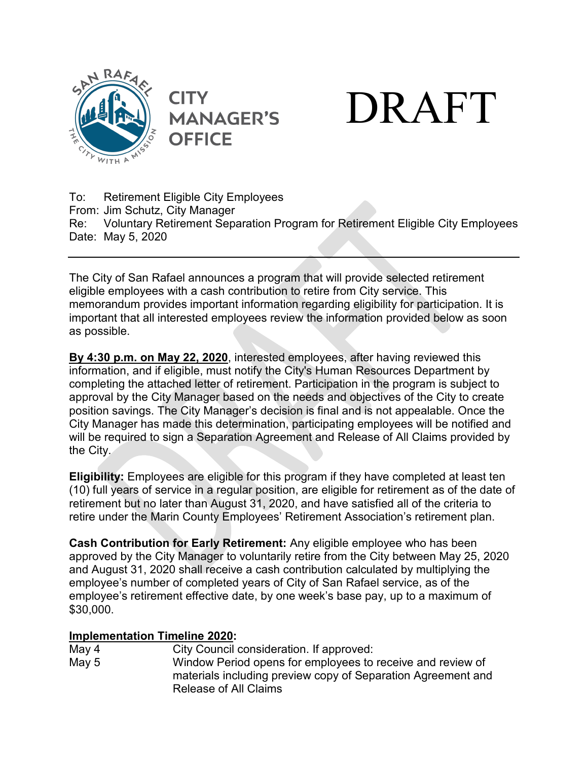



To: Retirement Eligible City Employees From: Jim Schutz, City Manager Re: Voluntary Retirement Separation Program for Retirement Eligible City Employees Date: May 5, 2020

**MANAGER'S** 

**OFFICE** 

The City of San Rafael announces a program that will provide selected retirement eligible employees with a cash contribution to retire from City service. This memorandum provides important information regarding eligibility for participation. It is important that all interested employees review the information provided below as soon as possible.

**By 4:30 p.m. on May 22, 2020**, interested employees, after having reviewed this information, and if eligible, must notify the City's Human Resources Department by completing the attached letter of retirement. Participation in the program is subject to approval by the City Manager based on the needs and objectives of the City to create position savings. The City Manager's decision is final and is not appealable. Once the City Manager has made this determination, participating employees will be notified and will be required to sign a Separation Agreement and Release of All Claims provided by the City.

**Eligibility:** Employees are eligible for this program if they have completed at least ten (10) full years of service in a regular position, are eligible for retirement as of the date of retirement but no later than August 31, 2020, and have satisfied all of the criteria to retire under the Marin County Employees' Retirement Association's retirement plan.

**Cash Contribution for Early Retirement:** Any eligible employee who has been approved by the City Manager to voluntarily retire from the City between May 25, 2020 and August 31, 2020 shall receive a cash contribution calculated by multiplying the employee's number of completed years of City of San Rafael service, as of the employee's retirement effective date, by one week's base pay, up to a maximum of \$30,000.

# **Implementation Timeline 2020:**

City Council consideration. If approved: May 5 Window Period opens for employees to receive and review of materials including preview copy of Separation Agreement and Release of All Claims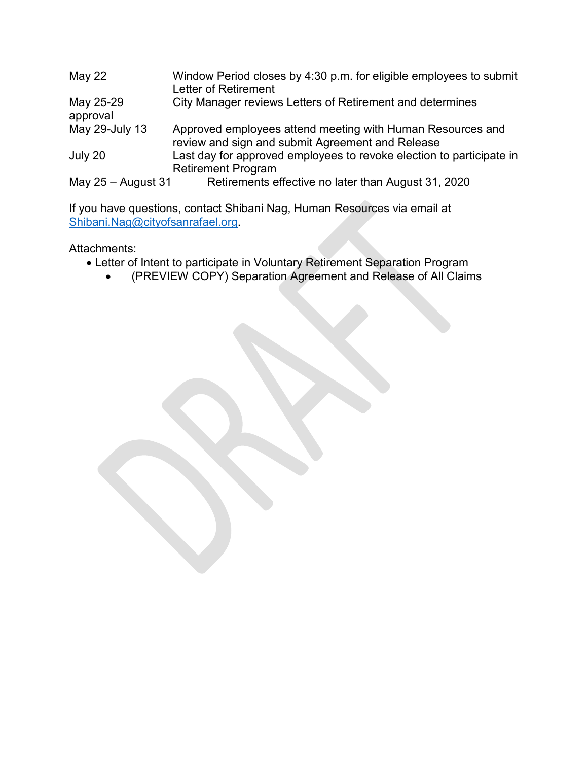| May 22                | Window Period closes by 4:30 p.m. for eligible employees to submit<br>Letter of Retirement                     |
|-----------------------|----------------------------------------------------------------------------------------------------------------|
| May 25-29<br>approval | City Manager reviews Letters of Retirement and determines                                                      |
| May 29-July 13        | Approved employees attend meeting with Human Resources and<br>review and sign and submit Agreement and Release |
| July 20               | Last day for approved employees to revoke election to participate in<br><b>Retirement Program</b>              |
| May $25 -$ August 31  | Retirements effective no later than August 31, 2020                                                            |

If you have questions, contact Shibani Nag, Human Resources via email at [Shibani.Nag@cityofsanrafael.org.](mailto:Shibani.Nag@cityofsanrafael.org)

Attachments:

- Letter of Intent to participate in Voluntary Retirement Separation Program
	- (PREVIEW COPY) Separation Agreement and Release of All Claims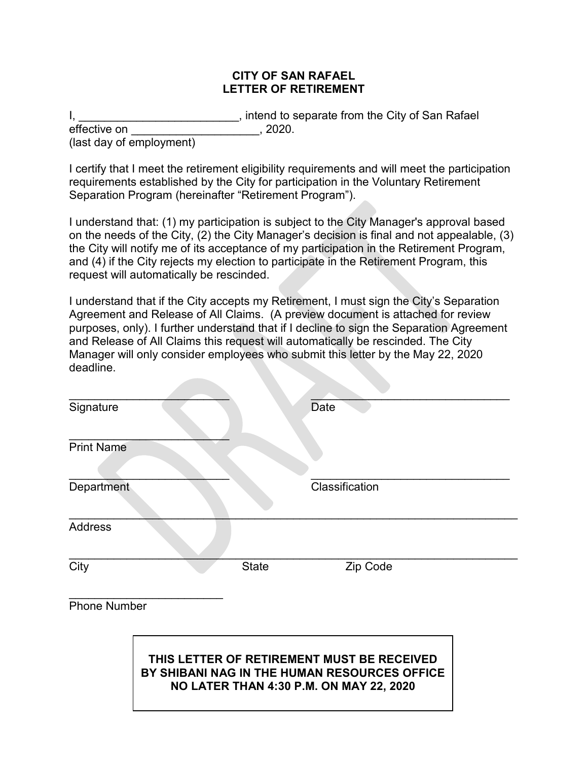## **CITY OF SAN RAFAEL LETTER OF RETIREMENT**

I, \_\_\_\_\_\_\_\_\_\_\_\_\_\_\_\_\_\_\_\_\_\_\_\_\_, intend to separate from the City of San Rafael effective on  $\overline{\phantom{a}}$ , 2020. (last day of employment)

I certify that I meet the retirement eligibility requirements and will meet the participation requirements established by the City for participation in the Voluntary Retirement Separation Program (hereinafter "Retirement Program").

I understand that: (1) my participation is subject to the City Manager's approval based on the needs of the City, (2) the City Manager's decision is final and not appealable, (3) the City will notify me of its acceptance of my participation in the Retirement Program, and (4) if the City rejects my election to participate in the Retirement Program, this request will automatically be rescinded.

I understand that if the City accepts my Retirement, I must sign the City's Separation Agreement and Release of All Claims. (A preview document is attached for review purposes, only). I further understand that if I decline to sign the Separation Agreement and Release of All Claims this request will automatically be rescinded. The City Manager will only consider employees who submit this letter by the May 22, 2020 deadline.

| Signature           |              | <b>Date</b>                                                                                                                           |  |
|---------------------|--------------|---------------------------------------------------------------------------------------------------------------------------------------|--|
| <b>Print Name</b>   |              |                                                                                                                                       |  |
| Department          |              | Classification                                                                                                                        |  |
| <b>Address</b>      |              |                                                                                                                                       |  |
| City                | <b>State</b> | Zip Code                                                                                                                              |  |
| <b>Phone Number</b> |              |                                                                                                                                       |  |
|                     |              | THIS LETTER OF RETIREMENT MUST BE RECEIVED<br>BY SHIBANI NAG IN THE HUMAN RESOURCES OFFICE<br>NO LATER THAN 4:30 P.M. ON MAY 22, 2020 |  |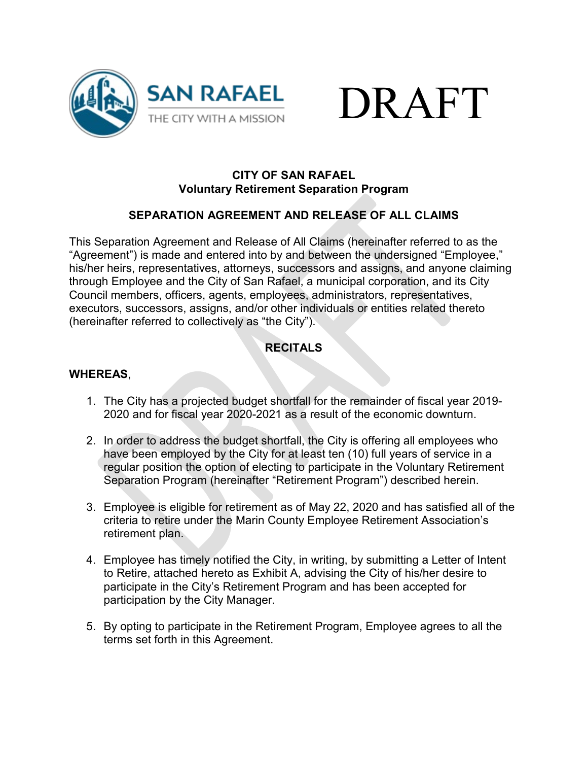



## **CITY OF SAN RAFAEL Voluntary Retirement Separation Program**

# **SEPARATION AGREEMENT AND RELEASE OF ALL CLAIMS**

This Separation Agreement and Release of All Claims (hereinafter referred to as the "Agreement") is made and entered into by and between the undersigned "Employee," his/her heirs, representatives, attorneys, successors and assigns, and anyone claiming through Employee and the City of San Rafael, a municipal corporation, and its City Council members, officers, agents, employees, administrators, representatives, executors, successors, assigns, and/or other individuals or entities related thereto (hereinafter referred to collectively as "the City").

# **RECITALS**

## **WHEREAS**,

- 1. The City has a projected budget shortfall for the remainder of fiscal year 2019- 2020 and for fiscal year 2020-2021 as a result of the economic downturn.
- 2. In order to address the budget shortfall, the City is offering all employees who have been employed by the City for at least ten (10) full years of service in a regular position the option of electing to participate in the Voluntary Retirement Separation Program (hereinafter "Retirement Program") described herein.
- 3. Employee is eligible for retirement as of May 22, 2020 and has satisfied all of the criteria to retire under the Marin County Employee Retirement Association's retirement plan.
- 4. Employee has timely notified the City, in writing, by submitting a Letter of Intent to Retire, attached hereto as Exhibit A, advising the City of his/her desire to participate in the City's Retirement Program and has been accepted for participation by the City Manager.
- 5. By opting to participate in the Retirement Program, Employee agrees to all the terms set forth in this Agreement.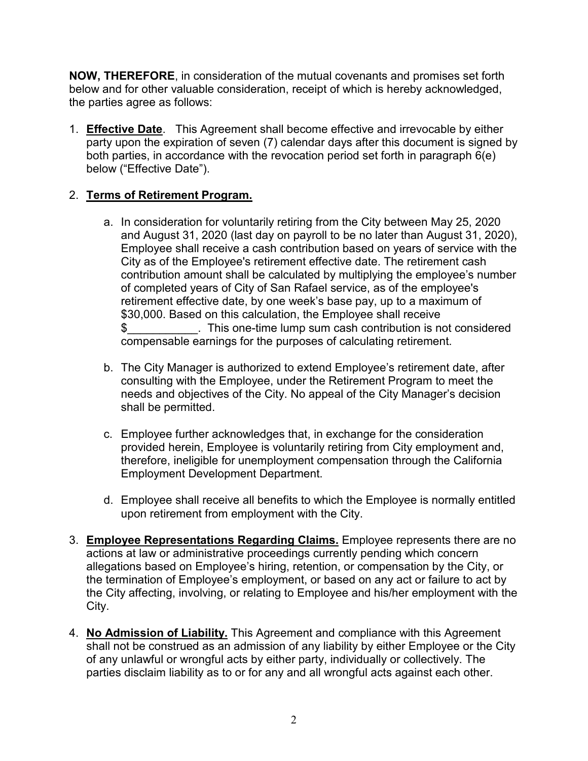**NOW, THEREFORE**, in consideration of the mutual covenants and promises set forth below and for other valuable consideration, receipt of which is hereby acknowledged, the parties agree as follows:

1. **Effective Date**. This Agreement shall become effective and irrevocable by either party upon the expiration of seven (7) calendar days after this document is signed by both parties, in accordance with the revocation period set forth in paragraph  $6(e)$ below ("Effective Date").

# 2. **Terms of Retirement Program.**

- a. In consideration for voluntarily retiring from the City between May 25, 2020 and August 31, 2020 (last day on payroll to be no later than August 31, 2020), Employee shall receive a cash contribution based on years of service with the City as of the Employee's retirement effective date. The retirement cash contribution amount shall be calculated by multiplying the employee's number of completed years of City of San Rafael service, as of the employee's retirement effective date, by one week's base pay, up to a maximum of \$30,000. Based on this calculation, the Employee shall receive \$ This one-time lump sum cash contribution is not considered compensable earnings for the purposes of calculating retirement.
- b. The City Manager is authorized to extend Employee's retirement date, after consulting with the Employee, under the Retirement Program to meet the needs and objectives of the City. No appeal of the City Manager's decision shall be permitted.
- c. Employee further acknowledges that, in exchange for the consideration provided herein, Employee is voluntarily retiring from City employment and, therefore, ineligible for unemployment compensation through the California Employment Development Department.
- d. Employee shall receive all benefits to which the Employee is normally entitled upon retirement from employment with the City.
- 3. **Employee Representations Regarding Claims.** Employee represents there are no actions at law or administrative proceedings currently pending which concern allegations based on Employee's hiring, retention, or compensation by the City, or the termination of Employee's employment, or based on any act or failure to act by the City affecting, involving, or relating to Employee and his/her employment with the City.
- 4. **No Admission of Liability.** This Agreement and compliance with this Agreement shall not be construed as an admission of any liability by either Employee or the City of any unlawful or wrongful acts by either party, individually or collectively. The parties disclaim liability as to or for any and all wrongful acts against each other.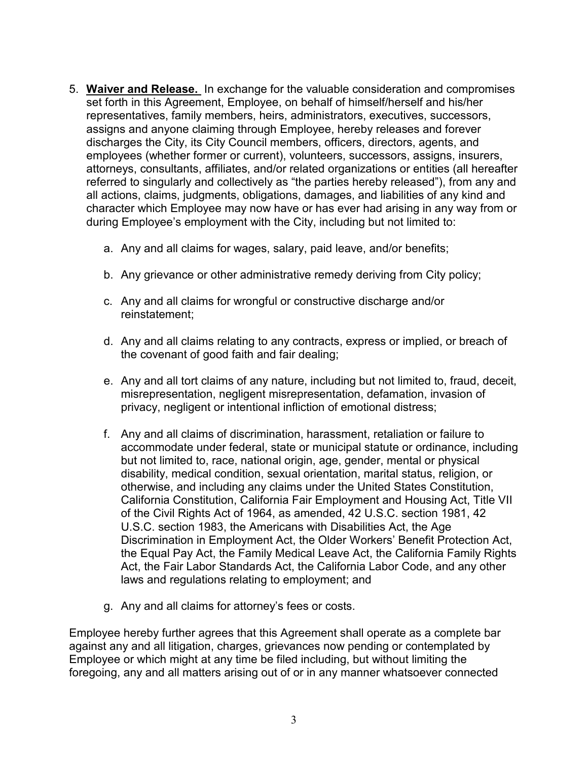- 5. **Waiver and Release.** In exchange for the valuable consideration and compromises set forth in this Agreement, Employee, on behalf of himself/herself and his/her representatives, family members, heirs, administrators, executives, successors, assigns and anyone claiming through Employee, hereby releases and forever discharges the City, its City Council members, officers, directors, agents, and employees (whether former or current), volunteers, successors, assigns, insurers, attorneys, consultants, affiliates, and/or related organizations or entities (all hereafter referred to singularly and collectively as "the parties hereby released"), from any and all actions, claims, judgments, obligations, damages, and liabilities of any kind and character which Employee may now have or has ever had arising in any way from or during Employee's employment with the City, including but not limited to:
	- a. Any and all claims for wages, salary, paid leave, and/or benefits;
	- b. Any grievance or other administrative remedy deriving from City policy;
	- c. Any and all claims for wrongful or constructive discharge and/or reinstatement;
	- d. Any and all claims relating to any contracts, express or implied, or breach of the covenant of good faith and fair dealing;
	- e. Any and all tort claims of any nature, including but not limited to, fraud, deceit, misrepresentation, negligent misrepresentation, defamation, invasion of privacy, negligent or intentional infliction of emotional distress;
	- f. Any and all claims of discrimination, harassment, retaliation or failure to accommodate under federal, state or municipal statute or ordinance, including but not limited to, race, national origin, age, gender, mental or physical disability, medical condition, sexual orientation, marital status, religion, or otherwise, and including any claims under the United States Constitution, California Constitution, California Fair Employment and Housing Act, Title VII of the Civil Rights Act of 1964, as amended, 42 U.S.C. section 1981, 42 U.S.C. section 1983, the Americans with Disabilities Act, the Age Discrimination in Employment Act, the Older Workers' Benefit Protection Act, the Equal Pay Act, the Family Medical Leave Act, the California Family Rights Act, the Fair Labor Standards Act, the California Labor Code, and any other laws and regulations relating to employment; and
	- g. Any and all claims for attorney's fees or costs.

Employee hereby further agrees that this Agreement shall operate as a complete bar against any and all litigation, charges, grievances now pending or contemplated by Employee or which might at any time be filed including, but without limiting the foregoing, any and all matters arising out of or in any manner whatsoever connected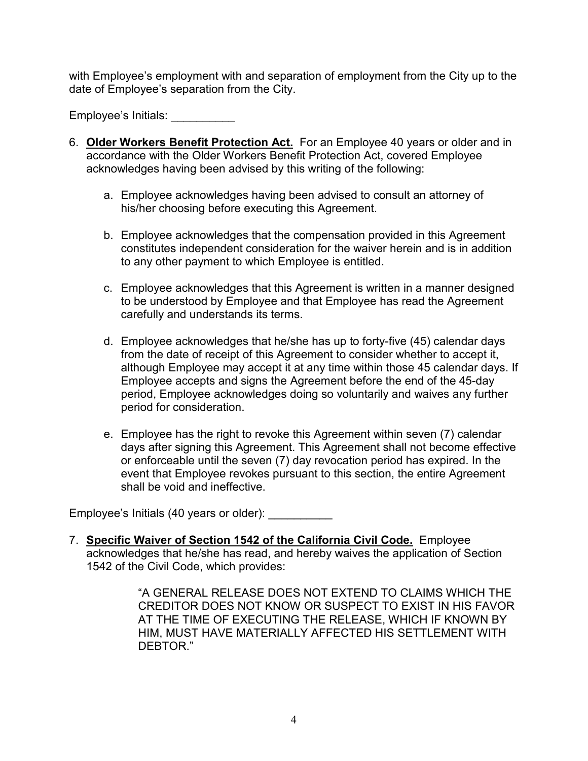with Employee's employment with and separation of employment from the City up to the date of Employee's separation from the City.

Employee's Initials: \_\_\_\_\_\_\_\_\_\_

- 6. **Older Workers Benefit Protection Act.** For an Employee 40 years or older and in accordance with the Older Workers Benefit Protection Act, covered Employee acknowledges having been advised by this writing of the following:
	- a. Employee acknowledges having been advised to consult an attorney of his/her choosing before executing this Agreement.
	- b. Employee acknowledges that the compensation provided in this Agreement constitutes independent consideration for the waiver herein and is in addition to any other payment to which Employee is entitled.
	- c. Employee acknowledges that this Agreement is written in a manner designed to be understood by Employee and that Employee has read the Agreement carefully and understands its terms.
	- d. Employee acknowledges that he/she has up to forty-five (45) calendar days from the date of receipt of this Agreement to consider whether to accept it, although Employee may accept it at any time within those 45 calendar days. If Employee accepts and signs the Agreement before the end of the 45-day period, Employee acknowledges doing so voluntarily and waives any further period for consideration.
	- e. Employee has the right to revoke this Agreement within seven (7) calendar days after signing this Agreement. This Agreement shall not become effective or enforceable until the seven (7) day revocation period has expired. In the event that Employee revokes pursuant to this section, the entire Agreement shall be void and ineffective.

Employee's Initials (40 years or older): \_\_\_\_\_\_\_\_\_\_

7. **Specific Waiver of Section 1542 of the California Civil Code.** Employee acknowledges that he/she has read, and hereby waives the application of Section 1542 of the Civil Code, which provides:

> "A GENERAL RELEASE DOES NOT EXTEND TO CLAIMS WHICH THE CREDITOR DOES NOT KNOW OR SUSPECT TO EXIST IN HIS FAVOR AT THE TIME OF EXECUTING THE RELEASE, WHICH IF KNOWN BY HIM, MUST HAVE MATERIALLY AFFECTED HIS SETTLEMENT WITH DEBTOR."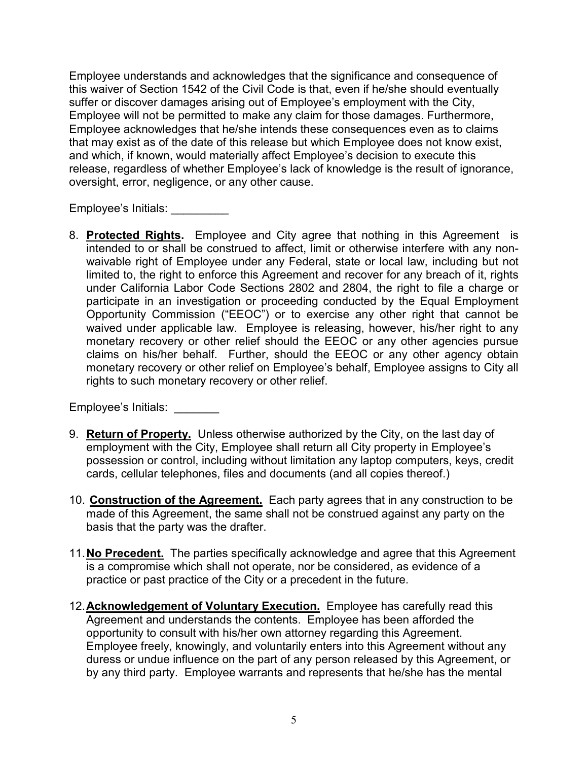Employee understands and acknowledges that the significance and consequence of this waiver of Section 1542 of the Civil Code is that, even if he/she should eventually suffer or discover damages arising out of Employee's employment with the City, Employee will not be permitted to make any claim for those damages. Furthermore, Employee acknowledges that he/she intends these consequences even as to claims that may exist as of the date of this release but which Employee does not know exist, and which, if known, would materially affect Employee's decision to execute this release, regardless of whether Employee's lack of knowledge is the result of ignorance, oversight, error, negligence, or any other cause.

Employee's Initials: \_\_\_\_\_\_\_\_\_

8. **Protected Rights.** Employee and City agree that nothing in this Agreement is intended to or shall be construed to affect, limit or otherwise interfere with any nonwaivable right of Employee under any Federal, state or local law, including but not limited to, the right to enforce this Agreement and recover for any breach of it, rights under California Labor Code Sections 2802 and 2804, the right to file a charge or participate in an investigation or proceeding conducted by the Equal Employment Opportunity Commission ("EEOC") or to exercise any other right that cannot be waived under applicable law. Employee is releasing, however, his/her right to any monetary recovery or other relief should the EEOC or any other agencies pursue claims on his/her behalf. Further, should the EEOC or any other agency obtain monetary recovery or other relief on Employee's behalf, Employee assigns to City all rights to such monetary recovery or other relief.

## Employee's Initials: \_\_\_\_\_\_\_

- 9. **Return of Property.** Unless otherwise authorized by the City, on the last day of employment with the City, Employee shall return all City property in Employee's possession or control, including without limitation any laptop computers, keys, credit cards, cellular telephones, files and documents (and all copies thereof.)
- 10. **Construction of the Agreement.** Each party agrees that in any construction to be made of this Agreement, the same shall not be construed against any party on the basis that the party was the drafter.
- 11.**No Precedent.** The parties specifically acknowledge and agree that this Agreement is a compromise which shall not operate, nor be considered, as evidence of a practice or past practice of the City or a precedent in the future.
- 12.**Acknowledgement of Voluntary Execution.** Employee has carefully read this Agreement and understands the contents. Employee has been afforded the opportunity to consult with his/her own attorney regarding this Agreement. Employee freely, knowingly, and voluntarily enters into this Agreement without any duress or undue influence on the part of any person released by this Agreement, or by any third party. Employee warrants and represents that he/she has the mental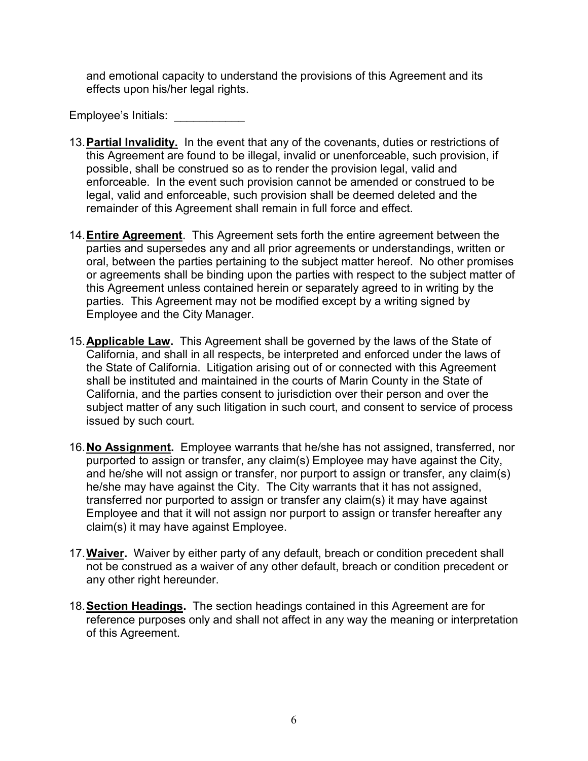and emotional capacity to understand the provisions of this Agreement and its effects upon his/her legal rights.

Employee's Initials: \_\_\_\_\_\_\_\_\_\_\_

- 13.**Partial Invalidity.** In the event that any of the covenants, duties or restrictions of this Agreement are found to be illegal, invalid or unenforceable, such provision, if possible, shall be construed so as to render the provision legal, valid and enforceable. In the event such provision cannot be amended or construed to be legal, valid and enforceable, such provision shall be deemed deleted and the remainder of this Agreement shall remain in full force and effect.
- 14.**Entire Agreement**. This Agreement sets forth the entire agreement between the parties and supersedes any and all prior agreements or understandings, written or oral, between the parties pertaining to the subject matter hereof. No other promises or agreements shall be binding upon the parties with respect to the subject matter of this Agreement unless contained herein or separately agreed to in writing by the parties. This Agreement may not be modified except by a writing signed by Employee and the City Manager.
- 15.**Applicable Law.** This Agreement shall be governed by the laws of the State of California, and shall in all respects, be interpreted and enforced under the laws of the State of California. Litigation arising out of or connected with this Agreement shall be instituted and maintained in the courts of Marin County in the State of California, and the parties consent to jurisdiction over their person and over the subject matter of any such litigation in such court, and consent to service of process issued by such court.
- 16.**No Assignment.** Employee warrants that he/she has not assigned, transferred, nor purported to assign or transfer, any claim(s) Employee may have against the City, and he/she will not assign or transfer, nor purport to assign or transfer, any claim(s) he/she may have against the City. The City warrants that it has not assigned, transferred nor purported to assign or transfer any claim(s) it may have against Employee and that it will not assign nor purport to assign or transfer hereafter any claim(s) it may have against Employee.
- 17.**Waiver.** Waiver by either party of any default, breach or condition precedent shall not be construed as a waiver of any other default, breach or condition precedent or any other right hereunder.
- 18.**Section Headings.** The section headings contained in this Agreement are for reference purposes only and shall not affect in any way the meaning or interpretation of this Agreement.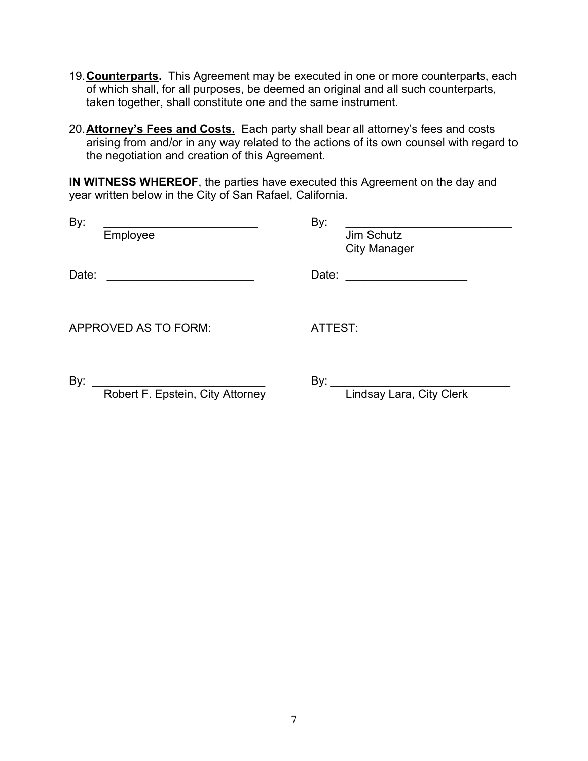- 19.**Counterparts.** This Agreement may be executed in one or more counterparts, each of which shall, for all purposes, be deemed an original and all such counterparts, taken together, shall constitute one and the same instrument.
- 20.**Attorney's Fees and Costs.** Each party shall bear all attorney's fees and costs arising from and/or in any way related to the actions of its own counsel with regard to the negotiation and creation of this Agreement.

**IN WITNESS WHEREOF**, the parties have executed this Agreement on the day and year written below in the City of San Rafael, California.

| By:<br>Employee                         | By:<br>Jim Schutz<br><b>City Manager</b> |
|-----------------------------------------|------------------------------------------|
| Date:                                   | Date:                                    |
| APPROVED AS TO FORM:                    | ATTEST:                                  |
| By:<br>Robert F. Epstein, City Attorney | By:<br>Lindsay Lara, City Clerk          |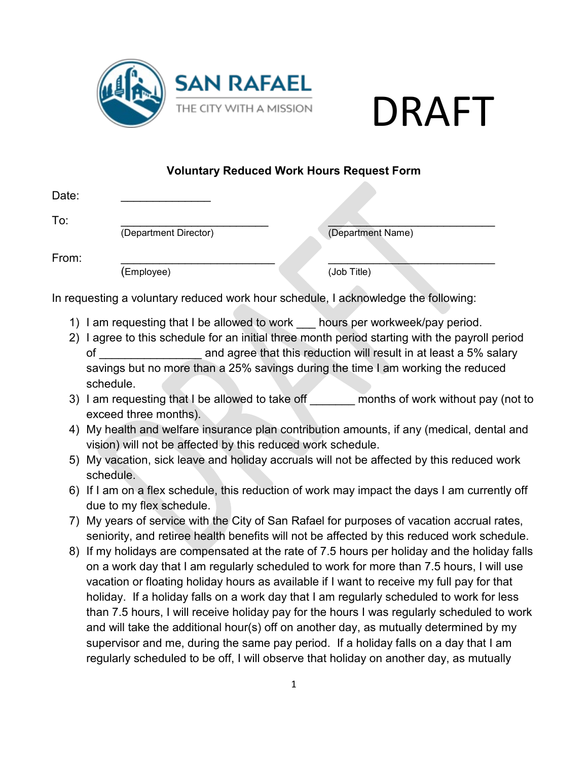



# **Voluntary Reduced Work Hours Request Form**

| Date: |                                                                                                                                                                                                                                                                                      |
|-------|--------------------------------------------------------------------------------------------------------------------------------------------------------------------------------------------------------------------------------------------------------------------------------------|
| To:   | (Department Director)<br>(Department Name)                                                                                                                                                                                                                                           |
| From: |                                                                                                                                                                                                                                                                                      |
|       | (Job Title)<br>(Employee)                                                                                                                                                                                                                                                            |
|       | In requesting a voluntary reduced work hour schedule, I acknowledge the following:                                                                                                                                                                                                   |
|       | 1) I am requesting that I be allowed to work hours per workweek/pay period.                                                                                                                                                                                                          |
|       | 2) I agree to this schedule for an initial three month period starting with the payroll period                                                                                                                                                                                       |
|       |                                                                                                                                                                                                                                                                                      |
|       | savings but no more than a 25% savings during the time I am working the reduced                                                                                                                                                                                                      |
|       | schedule.                                                                                                                                                                                                                                                                            |
|       | 3) I am requesting that I be allowed to take off _______ months of work without pay (not to<br>exceed three months).                                                                                                                                                                 |
|       | 4) My health and welfare insurance plan contribution amounts, if any (medical, dental and                                                                                                                                                                                            |
|       | vision) will not be affected by this reduced work schedule.                                                                                                                                                                                                                          |
|       | 5) My vacation, sick leave and holiday accruals will not be affected by this reduced work<br>schedule.                                                                                                                                                                               |
|       | 6) If I am on a flex schedule, this reduction of work may impact the days I am currently off<br>due to my flex schedule.                                                                                                                                                             |
|       | 7) My years of service with the City of San Rafael for purposes of vacation accrual rates,<br>seniority, and retiree health benefits will not be affected by this reduced work schedule.                                                                                             |
|       | 8) If my holidays are compensated at the rate of 7.5 hours per holiday and the holiday falls<br>on a work day that I am regularly scheduled to work for more than 7.5 hours, I will use<br>vacation or floating holiday hours as available if I want to receive my full pay for that |
|       | holiday. If a holiday falls on a work day that I am regularly scheduled to work for less                                                                                                                                                                                             |
|       | than 7.5 hours, I will receive holiday pay for the hours I was regularly scheduled to work                                                                                                                                                                                           |
|       | and will take the additional hour(s) off on another day, as mutually determined by my                                                                                                                                                                                                |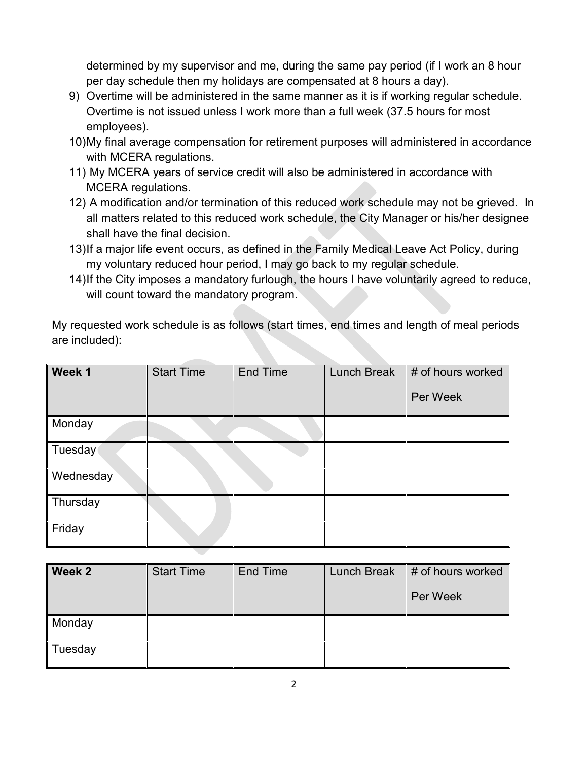determined by my supervisor and me, during the same pay period (if I work an 8 hour per day schedule then my holidays are compensated at 8 hours a day).

- 9) Overtime will be administered in the same manner as it is if working regular schedule. Overtime is not issued unless I work more than a full week (37.5 hours for most employees).
- 10)My final average compensation for retirement purposes will administered in accordance with MCERA regulations.
- 11) My MCERA years of service credit will also be administered in accordance with MCERA regulations.
- 12) A modification and/or termination of this reduced work schedule may not be grieved. In all matters related to this reduced work schedule, the City Manager or his/her designee shall have the final decision.
- 13)If a major life event occurs, as defined in the Family Medical Leave Act Policy, during my voluntary reduced hour period, I may go back to my regular schedule.
- 14)If the City imposes a mandatory furlough, the hours I have voluntarily agreed to reduce, will count toward the mandatory program.

My requested work schedule is as follows (start times, end times and length of meal periods are included):

| Week 1    | <b>Start Time</b> | <b>End Time</b> | <b>Lunch Break</b> | # of hours worked |
|-----------|-------------------|-----------------|--------------------|-------------------|
|           |                   |                 |                    | Per Week          |
| Monday    |                   |                 |                    |                   |
| Tuesday   |                   |                 |                    |                   |
| Wednesday |                   |                 |                    |                   |
| Thursday  |                   |                 |                    |                   |
| Friday    |                   |                 |                    |                   |

| <b>Week 2</b> | <b>Start Time</b> | <b>End Time</b> | <b>Lunch Break</b> | # of hours worked |
|---------------|-------------------|-----------------|--------------------|-------------------|
|               |                   |                 |                    | Per Week          |
| Monday        |                   |                 |                    |                   |
| ∥ Tuesday     |                   |                 |                    |                   |